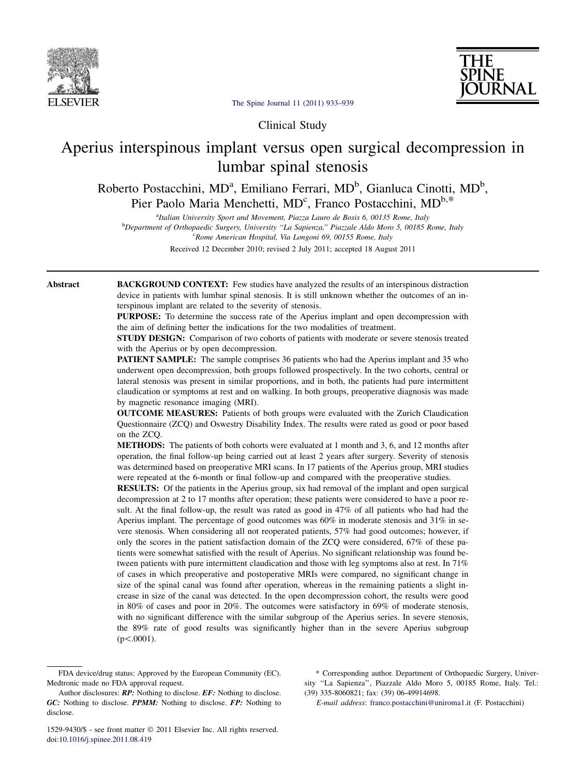



[The Spine Journal 11 \(2011\) 933–939](http://dx.doi.org/10.1016/j.spinee.2011.08.419)

Clinical Study

# Aperius interspinous implant versus open surgical decompression in lumbar spinal stenosis

Roberto Postacchini, MD<sup>a</sup>, Emiliano Ferrari, MD<sup>b</sup>, Gianluca Cinotti, MD<sup>b</sup>, Pier Paolo Maria Menchetti, MD<sup>c</sup>, Franco Postacchini, MD<sup>b,\*</sup>

<sup>a</sup>Italian University Sport and Movement, Piazza Lauro de Bosis 6, 00135 Rome, Italy

<sup>b</sup>Department of Orthopaedic Surgery, University "La Sapienza," Piazzale Aldo Moro 5, 00185 Rome, Italy <sup>c</sup>Rome American Hospital, Via Longoni 69, 00155 Rome, Italy

Received 12 December 2010; revised 2 July 2011; accepted 18 August 2011

Abstract BACKGROUND CONTEXT: Few studies have analyzed the results of an interspinous distraction device in patients with lumbar spinal stenosis. It is still unknown whether the outcomes of an interspinous implant are related to the severity of stenosis.

> PURPOSE: To determine the success rate of the Aperius implant and open decompression with the aim of defining better the indications for the two modalities of treatment.

> STUDY DESIGN: Comparison of two cohorts of patients with moderate or severe stenosis treated with the Aperius or by open decompression.

> **PATIENT SAMPLE:** The sample comprises 36 patients who had the Aperius implant and 35 who underwent open decompression, both groups followed prospectively. In the two cohorts, central or lateral stenosis was present in similar proportions, and in both, the patients had pure intermittent claudication or symptoms at rest and on walking. In both groups, preoperative diagnosis was made by magnetic resonance imaging (MRI).

> OUTCOME MEASURES: Patients of both groups were evaluated with the Zurich Claudication Questionnaire (ZCQ) and Oswestry Disability Index. The results were rated as good or poor based on the ZCQ.

> METHODS: The patients of both cohorts were evaluated at 1 month and 3, 6, and 12 months after operation, the final follow-up being carried out at least 2 years after surgery. Severity of stenosis was determined based on preoperative MRI scans. In 17 patients of the Aperius group, MRI studies were repeated at the 6-month or final follow-up and compared with the preoperative studies.

> RESULTS: Of the patients in the Aperius group, six had removal of the implant and open surgical decompression at 2 to 17 months after operation; these patients were considered to have a poor result. At the final follow-up, the result was rated as good in 47% of all patients who had had the Aperius implant. The percentage of good outcomes was  $60\%$  in moderate stenosis and  $31\%$  in severe stenosis. When considering all not reoperated patients, 57% had good outcomes; however, if only the scores in the patient satisfaction domain of the ZCQ were considered, 67% of these patients were somewhat satisfied with the result of Aperius. No significant relationship was found between patients with pure intermittent claudication and those with leg symptoms also at rest. In 71% of cases in which preoperative and postoperative MRIs were compared, no significant change in size of the spinal canal was found after operation, whereas in the remaining patients a slight increase in size of the canal was detected. In the open decompression cohort, the results were good in 80% of cases and poor in 20%. The outcomes were satisfactory in 69% of moderate stenosis, with no significant difference with the similar subgroup of the Aperius series. In severe stenosis, the 89% rate of good results was significantly higher than in the severe Aperius subgroup  $(p<.0001)$ .

\* Corresponding author. Department of Orthopaedic Surgery, University ''La Sapienza'', Piazzale Aldo Moro 5, 00185 Rome, Italy. Tel.: (39) 335-8060821; fax: (39) 06-49914698.

E-mail address: [franco.postacchini@uniroma1.it](mailto:franco.postacchini@uniroma1.it) (F. Postacchini)

FDA device/drug status: Approved by the European Community (EC). Medtronic made no FDA approval request.

Author disclosures: **RP:** Nothing to disclose. **EF:** Nothing to disclose. GC: Nothing to disclose. PPMM: Nothing to disclose. FP: Nothing to disclose.

<sup>1529-9430/\$ -</sup> see front matter 2011 Elsevier Inc. All rights reserved. doi[:10.1016/j.spinee.2011.08.419](http://dx.doi.org/10.1016/j.spinee.2011.08.419)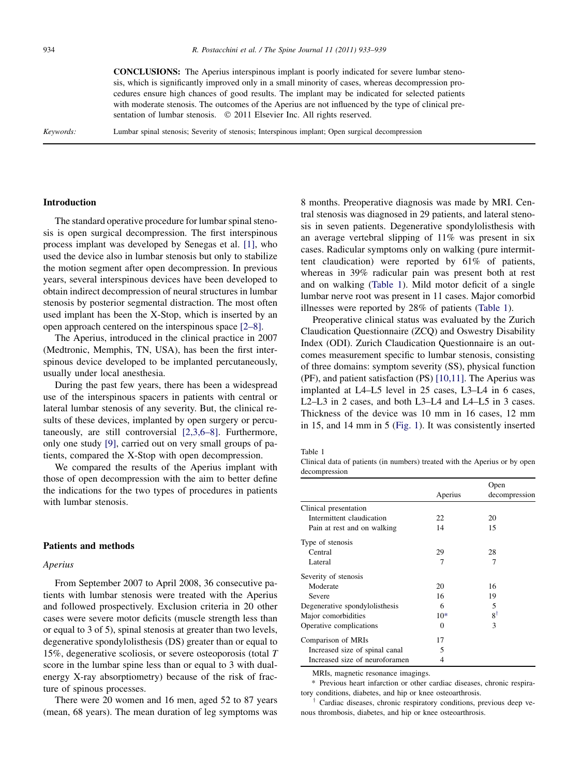<span id="page-1-0"></span>CONCLUSIONS: The Aperius interspinous implant is poorly indicated for severe lumbar stenosis, which is significantly improved only in a small minority of cases, whereas decompression procedures ensure high chances of good results. The implant may be indicated for selected patients with moderate stenosis. The outcomes of the Aperius are not influenced by the type of clinical presentation of lumbar stenosis.  $\oslash$  2011 Elsevier Inc. All rights reserved.

Keywords: Lumbar spinal stenosis; Severity of stenosis; Interspinous implant; Open surgical decompression

## Introduction

The standard operative procedure for lumbar spinal stenosis is open surgical decompression. The first interspinous process implant was developed by Senegas et al. [\[1\]](#page-6-0), who used the device also in lumbar stenosis but only to stabilize the motion segment after open decompression. In previous years, several interspinous devices have been developed to obtain indirect decompression of neural structures in lumbar stenosis by posterior segmental distraction. The most often used implant has been the X-Stop, which is inserted by an open approach centered on the interspinous space [\[2–8\].](#page-6-0)

The Aperius, introduced in the clinical practice in 2007 (Medtronic, Memphis, TN, USA), has been the first interspinous device developed to be implanted percutaneously, usually under local anesthesia.

During the past few years, there has been a widespread use of the interspinous spacers in patients with central or lateral lumbar stenosis of any severity. But, the clinical results of these devices, implanted by open surgery or percutaneously, are still controversial [\[2,3,6–8\].](#page-6-0) Furthermore, only one study [\[9\],](#page-6-0) carried out on very small groups of patients, compared the X-Stop with open decompression.

We compared the results of the Aperius implant with those of open decompression with the aim to better define the indications for the two types of procedures in patients with lumbar stenosis.

## Patients and methods

## Aperius

From September 2007 to April 2008, 36 consecutive patients with lumbar stenosis were treated with the Aperius and followed prospectively. Exclusion criteria in 20 other cases were severe motor deficits (muscle strength less than or equal to 3 of 5), spinal stenosis at greater than two levels, degenerative spondylolisthesis (DS) greater than or equal to 15%, degenerative scoliosis, or severe osteoporosis (total T score in the lumbar spine less than or equal to 3 with dualenergy X-ray absorptiometry) because of the risk of fracture of spinous processes.

There were 20 women and 16 men, aged 52 to 87 years (mean, 68 years). The mean duration of leg symptoms was 8 months. Preoperative diagnosis was made by MRI. Central stenosis was diagnosed in 29 patients, and lateral stenosis in seven patients. Degenerative spondylolisthesis with an average vertebral slipping of 11% was present in six cases. Radicular symptoms only on walking (pure intermittent claudication) were reported by 61% of patients, whereas in 39% radicular pain was present both at rest and on walking (Table 1). Mild motor deficit of a single lumbar nerve root was present in 11 cases. Major comorbid illnesses were reported by 28% of patients (Table 1).

Preoperative clinical status was evaluated by the Zurich Claudication Questionnaire (ZCQ) and Oswestry Disability Index (ODI). Zurich Claudication Questionnaire is an outcomes measurement specific to lumbar stenosis, consisting of three domains: symptom severity (SS), physical function (PF), and patient satisfaction (PS) [\[10,11\].](#page-6-0) The Aperius was implanted at L4–L5 level in 25 cases, L3–L4 in 6 cases, L2–L3 in 2 cases, and both L3–L4 and L4–L5 in 3 cases. Thickness of the device was 10 mm in 16 cases, 12 mm in 15, and 14 mm in 5 ([Fig. 1\)](#page-2-0). It was consistently inserted

Table 1

Clinical data of patients (in numbers) treated with the Aperius or by open decompression

|                                |          | Open          |  |
|--------------------------------|----------|---------------|--|
|                                | Aperius  | decompression |  |
| Clinical presentation          |          |               |  |
| Intermittent claudication      | 22       | 20            |  |
| Pain at rest and on walking    | 14       | 15            |  |
| Type of stenosis               |          |               |  |
| Central                        | 29       | 28            |  |
| Lateral                        | 7        | 7             |  |
| Severity of stenosis           |          |               |  |
| Moderate                       | 20       | 16            |  |
| Severe                         | 16       | 19            |  |
| Degenerative spondylolisthesis | 6        | 5             |  |
| Major comorbidities            | $10*$    | $8^{\dagger}$ |  |
| Operative complications        | $\Omega$ | $\mathbf{3}$  |  |
| Comparison of MRIs             | 17       |               |  |
| Increased size of spinal canal | 5        |               |  |
| Increased size of neuroforamen | 4        |               |  |

MRIs, magnetic resonance imagings.

\* Previous heart infarction or other cardiac diseases, chronic respiratory conditions, diabetes, and hip or knee osteoarthrosis.

Cardiac diseases, chronic respiratory conditions, previous deep venous thrombosis, diabetes, and hip or knee osteoarthrosis.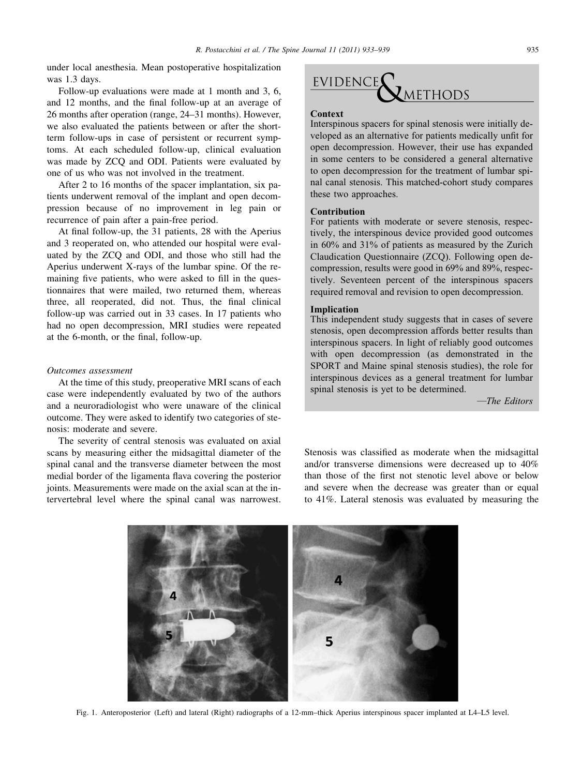<span id="page-2-0"></span>under local anesthesia. Mean postoperative hospitalization was 1.3 days.

Follow-up evaluations were made at 1 month and 3, 6, and 12 months, and the final follow-up at an average of 26 months after operation (range, 24–31 months). However, we also evaluated the patients between or after the shortterm follow-ups in case of persistent or recurrent symptoms. At each scheduled follow-up, clinical evaluation was made by ZCQ and ODI. Patients were evaluated by one of us who was not involved in the treatment.

After 2 to 16 months of the spacer implantation, six patients underwent removal of the implant and open decompression because of no improvement in leg pain or recurrence of pain after a pain-free period.

At final follow-up, the 31 patients, 28 with the Aperius and 3 reoperated on, who attended our hospital were evaluated by the ZCQ and ODI, and those who still had the Aperius underwent X-rays of the lumbar spine. Of the remaining five patients, who were asked to fill in the questionnaires that were mailed, two returned them, whereas three, all reoperated, did not. Thus, the final clinical follow-up was carried out in 33 cases. In 17 patients who had no open decompression, MRI studies were repeated at the 6-month, or the final, follow-up.

## Outcomes assessment

At the time of this study, preoperative MRI scans of each case were independently evaluated by two of the authors and a neuroradiologist who were unaware of the clinical outcome. They were asked to identify two categories of stenosis: moderate and severe.

The severity of central stenosis was evaluated on axial scans by measuring either the midsagittal diameter of the spinal canal and the transverse diameter between the most medial border of the ligamenta flava covering the posterior joints. Measurements were made on the axial scan at the intervertebral level where the spinal canal was narrowest.

## **EVIDENCE METHODS**

### **Context**

Interspinous spacers for spinal stenosis were initially developed as an alternative for patients medically unfit for open decompression. However, their use has expanded in some centers to be considered a general alternative to open decompression for the treatment of lumbar spinal canal stenosis. This matched-cohort study compares these two approaches.

#### Contribution

For patients with moderate or severe stenosis, respectively, the interspinous device provided good outcomes in 60% and 31% of patients as measured by the Zurich Claudication Questionnaire (ZCQ). Following open decompression, results were good in 69% and 89%, respectively. Seventeen percent of the interspinous spacers required removal and revision to open decompression.

#### Implication

This independent study suggests that in cases of severe stenosis, open decompression affords better results than interspinous spacers. In light of reliably good outcomes with open decompression (as demonstrated in the SPORT and Maine spinal stenosis studies), the role for interspinous devices as a general treatment for lumbar spinal stenosis is yet to be determined.

—The Editors

Stenosis was classified as moderate when the midsagittal and/or transverse dimensions were decreased up to 40% than those of the first not stenotic level above or below and severe when the decrease was greater than or equal to 41%. Lateral stenosis was evaluated by measuring the

5

Fig. 1. Anteroposterior (Left) and lateral (Right) radiographs of a 12-mm–thick Aperius interspinous spacer implanted at L4–L5 level.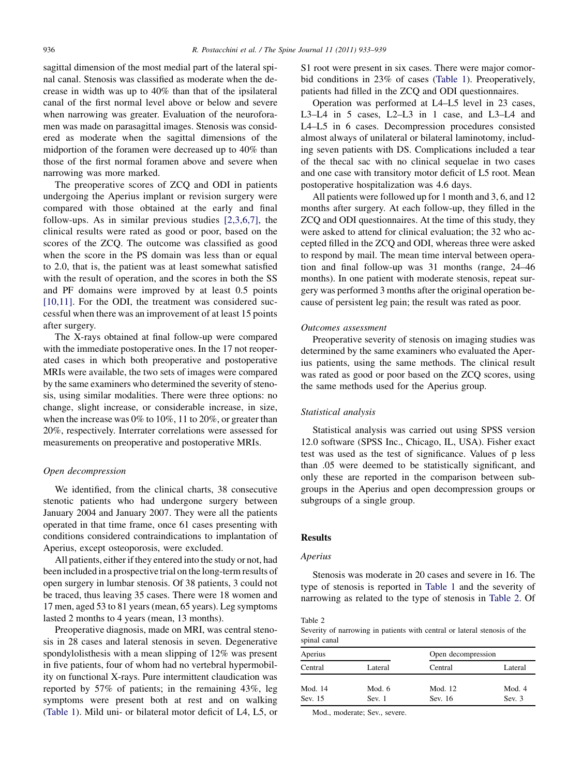sagittal dimension of the most medial part of the lateral spinal canal. Stenosis was classified as moderate when the decrease in width was up to 40% than that of the ipsilateral canal of the first normal level above or below and severe when narrowing was greater. Evaluation of the neuroforamen was made on parasagittal images. Stenosis was considered as moderate when the sagittal dimensions of the midportion of the foramen were decreased up to 40% than those of the first normal foramen above and severe when narrowing was more marked.

The preoperative scores of ZCQ and ODI in patients undergoing the Aperius implant or revision surgery were compared with those obtained at the early and final follow-ups. As in similar previous studies [\[2,3,6,7\],](#page-6-0) the clinical results were rated as good or poor, based on the scores of the ZCQ. The outcome was classified as good when the score in the PS domain was less than or equal to 2.0, that is, the patient was at least somewhat satisfied with the result of operation, and the scores in both the SS and PF domains were improved by at least 0.5 points [\[10,11\].](#page-6-0) For the ODI, the treatment was considered successful when there was an improvement of at least 15 points after surgery.

The X-rays obtained at final follow-up were compared with the immediate postoperative ones. In the 17 not reoperated cases in which both preoperative and postoperative MRIs were available, the two sets of images were compared by the same examiners who determined the severity of stenosis, using similar modalities. There were three options: no change, slight increase, or considerable increase, in size, when the increase was 0% to 10%, 11 to 20%, or greater than 20%, respectively. Interrater correlations were assessed for measurements on preoperative and postoperative MRIs.

## Open decompression

We identified, from the clinical charts, 38 consecutive stenotic patients who had undergone surgery between January 2004 and January 2007. They were all the patients operated in that time frame, once 61 cases presenting with conditions considered contraindications to implantation of Aperius, except osteoporosis, were excluded.

All patients, either if they entered into the study or not, had been included in a prospective trial on the long-term results of open surgery in lumbar stenosis. Of 38 patients, 3 could not be traced, thus leaving 35 cases. There were 18 women and 17 men, aged 53 to 81 years (mean, 65 years). Leg symptoms lasted 2 months to 4 years (mean, 13 months).

Preoperative diagnosis, made on MRI, was central stenosis in 28 cases and lateral stenosis in seven. Degenerative spondylolisthesis with a mean slipping of 12% was present in five patients, four of whom had no vertebral hypermobility on functional X-rays. Pure intermittent claudication was reported by 57% of patients; in the remaining 43%, leg symptoms were present both at rest and on walking [\(Table 1\)](#page-1-0). Mild uni- or bilateral motor deficit of L4, L5, or

S1 root were present in six cases. There were major comorbid conditions in 23% of cases [\(Table 1](#page-1-0)). Preoperatively, patients had filled in the ZCQ and ODI questionnaires.

Operation was performed at L4–L5 level in 23 cases, L3–L4 in 5 cases, L2–L3 in 1 case, and L3–L4 and L4–L5 in 6 cases. Decompression procedures consisted almost always of unilateral or bilateral laminotomy, including seven patients with DS. Complications included a tear of the thecal sac with no clinical sequelae in two cases and one case with transitory motor deficit of L5 root. Mean postoperative hospitalization was 4.6 days.

All patients were followed up for 1 month and 3, 6, and 12 months after surgery. At each follow-up, they filled in the ZCQ and ODI questionnaires. At the time of this study, they were asked to attend for clinical evaluation; the 32 who accepted filled in the ZCQ and ODI, whereas three were asked to respond by mail. The mean time interval between operation and final follow-up was 31 months (range, 24–46 months). In one patient with moderate stenosis, repeat surgery was performed 3 months after the original operation because of persistent leg pain; the result was rated as poor.

#### Outcomes assessment

Preoperative severity of stenosis on imaging studies was determined by the same examiners who evaluated the Aperius patients, using the same methods. The clinical result was rated as good or poor based on the ZCQ scores, using the same methods used for the Aperius group.

### Statistical analysis

Statistical analysis was carried out using SPSS version 12.0 software (SPSS Inc., Chicago, IL, USA). Fisher exact test was used as the test of significance. Values of p less than .05 were deemed to be statistically significant, and only these are reported in the comparison between subgroups in the Aperius and open decompression groups or subgroups of a single group.

## **Results**

#### Aperius

Stenosis was moderate in 20 cases and severe in 16. The type of stenosis is reported in [Table 1](#page-1-0) and the severity of narrowing as related to the type of stenosis in Table 2. Of

#### Table 2

Severity of narrowing in patients with central or lateral stenosis of the spinal canal

| Aperius |          | Open decompression |          |  |
|---------|----------|--------------------|----------|--|
| Central | Lateral  | Central            | Lateral  |  |
| Mod. 14 | Mod. $6$ | Mod. 12            | Mod. 4   |  |
| Sev. 15 | Sev. 1   | Sev. 16            | Sev. $3$ |  |

Mod., moderate; Sev., severe.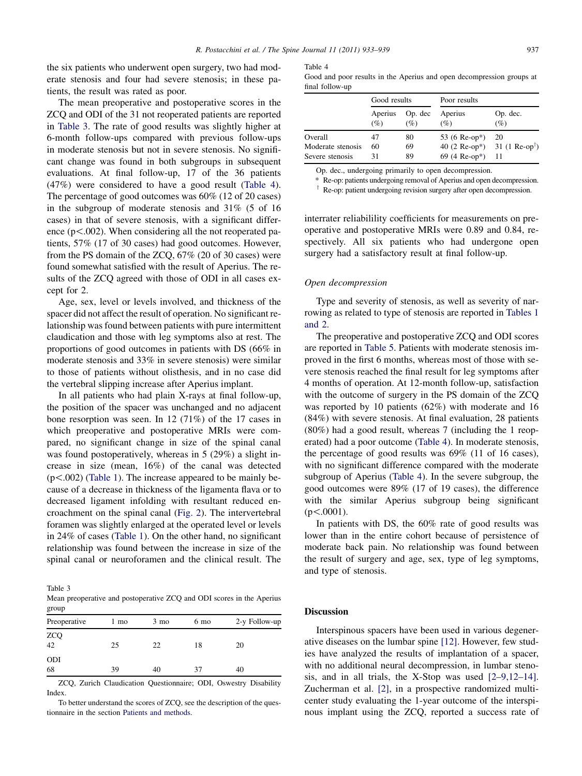the six patients who underwent open surgery, two had moderate stenosis and four had severe stenosis; in these patients, the result was rated as poor.

The mean preoperative and postoperative scores in the ZCQ and ODI of the 31 not reoperated patients are reported in Table 3. The rate of good results was slightly higher at 6-month follow-ups compared with previous follow-ups in moderate stenosis but not in severe stenosis. No significant change was found in both subgroups in subsequent evaluations. At final follow-up, 17 of the 36 patients (47%) were considered to have a good result (Table 4). The percentage of good outcomes was 60% (12 of 20 cases) in the subgroup of moderate stenosis and 31% (5 of 16 cases) in that of severe stenosis, with a significant difference  $(p<.002)$ . When considering all the not reoperated patients, 57% (17 of 30 cases) had good outcomes. However, from the PS domain of the ZCQ, 67% (20 of 30 cases) were found somewhat satisfied with the result of Aperius. The results of the ZCQ agreed with those of ODI in all cases except for 2.

Age, sex, level or levels involved, and thickness of the spacer did not affect the result of operation. No significant relationship was found between patients with pure intermittent claudication and those with leg symptoms also at rest. The proportions of good outcomes in patients with DS (66% in moderate stenosis and 33% in severe stenosis) were similar to those of patients without olisthesis, and in no case did the vertebral slipping increase after Aperius implant.

In all patients who had plain X-rays at final follow-up, the position of the spacer was unchanged and no adjacent bone resorption was seen. In 12 (71%) of the 17 cases in which preoperative and postoperative MRIs were compared, no significant change in size of the spinal canal was found postoperatively, whereas in 5 (29%) a slight increase in size (mean, 16%) of the canal was detected  $(p<.002)$  ([Table 1\)](#page-1-0). The increase appeared to be mainly because of a decrease in thickness of the ligamenta flava or to decreased ligament infolding with resultant reduced encroachment on the spinal canal [\(Fig. 2](#page-5-0)). The intervertebral foramen was slightly enlarged at the operated level or levels in 24% of cases [\(Table 1\)](#page-1-0). On the other hand, no significant relationship was found between the increase in size of the spinal canal or neuroforamen and the clinical result. The

Table 3 Mean preoperative and postoperative ZCQ and ODI scores in the Aperius group

| Preoperative               | 1 mo | $3 \text{ mo}$ | 6 mo | 2-y Follow-up |
|----------------------------|------|----------------|------|---------------|
| ${\rm ZCQ} \atop {\rm 42}$ | 25   | 22             | 18   | 20            |
| <b>ODI</b><br>68           | 39   | 40             | 37   | 40            |

ZCQ, Zurich Claudication Questionnaire; ODI, Oswestry Disability Index.

To better understand the scores of ZCQ, see the description of the questionnaire in the section Patients and methods.

Table 4 Good and poor results in the Aperius and open decompression groups at final follow-up

|                   | Good results   |                | Poor results                                          |                 |
|-------------------|----------------|----------------|-------------------------------------------------------|-----------------|
|                   | Aperius<br>(%) | Op. dec<br>(%) | Aperius<br>(%)                                        | Op. dec.<br>(%) |
| Overall           | 47             | 80             | 53 (6 Re-op*)                                         | 20              |
| Moderate stenosis | 60             | 69             | 40 (2 Re-op <sup>*</sup> ) 31 (1 Re-op <sup>†</sup> ) |                 |
| Severe stenosis   | 31             | 89             | 69 (4 Re-op*)                                         | 11              |

Op. dec., undergoing primarily to open decompression.

\* Re-op: patients undergoing removal of Aperius and open decompression.

 $\dagger$  Re-op: patient undergoing revision surgery after open decompression.

interrater reliabilility coefficients for measurements on preoperative and postoperative MRIs were 0.89 and 0.84, respectively. All six patients who had undergone open surgery had a satisfactory result at final follow-up.

#### Open decompression

Type and severity of stenosis, as well as severity of narrowing as related to type of stenosis are reported in [Tables 1](#page-1-0) [and 2.](#page-1-0)

The preoperative and postoperative ZCQ and ODI scores are reported in [Table 5.](#page-5-0) Patients with moderate stenosis improved in the first 6 months, whereas most of those with severe stenosis reached the final result for leg symptoms after 4 months of operation. At 12-month follow-up, satisfaction with the outcome of surgery in the PS domain of the ZCQ was reported by 10 patients (62%) with moderate and 16 (84%) with severe stenosis. At final evaluation, 28 patients (80%) had a good result, whereas 7 (including the 1 reoperated) had a poor outcome (Table 4). In moderate stenosis, the percentage of good results was 69% (11 of 16 cases), with no significant difference compared with the moderate subgroup of Aperius (Table 4). In the severe subgroup, the good outcomes were 89% (17 of 19 cases), the difference with the similar Aperius subgroup being significant  $(p<.0001)$ .

In patients with DS, the 60% rate of good results was lower than in the entire cohort because of persistence of moderate back pain. No relationship was found between the result of surgery and age, sex, type of leg symptoms, and type of stenosis.

#### **Discussion**

Interspinous spacers have been used in various degenerative diseases on the lumbar spine [\[12\].](#page-6-0) However, few studies have analyzed the results of implantation of a spacer, with no additional neural decompression, in lumbar stenosis, and in all trials, the X-Stop was used [\[2–9,12–14\]](#page-6-0). Zucherman et al. [\[2\]](#page-6-0), in a prospective randomized multicenter study evaluating the 1-year outcome of the interspinous implant using the ZCQ, reported a success rate of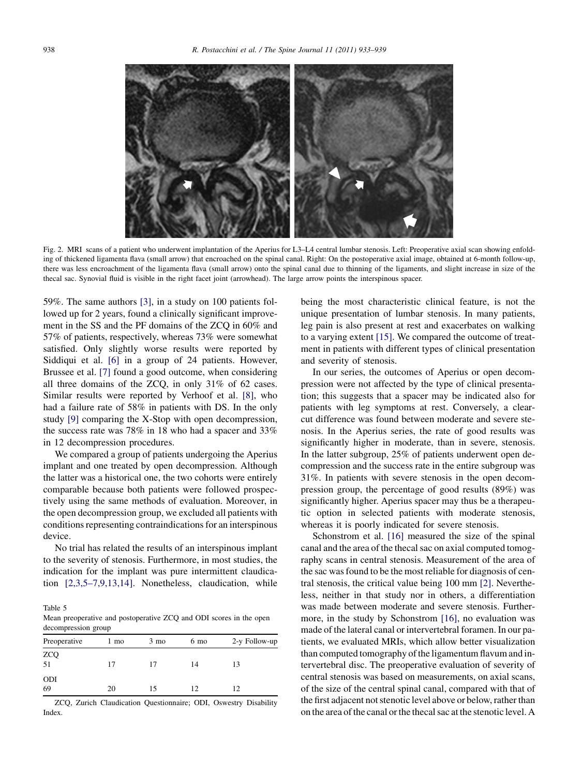<span id="page-5-0"></span>

Fig. 2. MRI scans of a patient who underwent implantation of the Aperius for L3–L4 central lumbar stenosis. Left: Preoperative axial scan showing enfolding of thickened ligamenta flava (small arrow) that encroached on the spinal canal. Right: On the postoperative axial image, obtained at 6-month follow-up, there was less encroachment of the ligamenta flava (small arrow) onto the spinal canal due to thinning of the ligaments, and slight increase in size of the thecal sac. Synovial fluid is visible in the right facet joint (arrowhead). The large arrow points the interspinous spacer.

59%. The same authors [\[3\],](#page-6-0) in a study on 100 patients followed up for 2 years, found a clinically significant improvement in the SS and the PF domains of the ZCQ in 60% and 57% of patients, respectively, whereas 73% were somewhat satisfied. Only slightly worse results were reported by Siddiqui et al. [\[6\]](#page-6-0) in a group of 24 patients. However, Brussee et al. [\[7\]](#page-6-0) found a good outcome, when considering all three domains of the ZCQ, in only 31% of 62 cases. Similar results were reported by Verhoof et al. [\[8\]](#page-6-0), who had a failure rate of 58% in patients with DS. In the only study [\[9\]](#page-6-0) comparing the X-Stop with open decompression, the success rate was 78% in 18 who had a spacer and 33% in 12 decompression procedures.

We compared a group of patients undergoing the Aperius implant and one treated by open decompression. Although the latter was a historical one, the two cohorts were entirely comparable because both patients were followed prospectively using the same methods of evaluation. Moreover, in the open decompression group, we excluded all patients with conditions representing contraindications for an interspinous device.

No trial has related the results of an interspinous implant to the severity of stenosis. Furthermore, in most studies, the indication for the implant was pure intermittent claudication [\[2,3,5–7,9,13,14\]](#page-6-0). Nonetheless, claudication, while

Table 5

Mean preoperative and postoperative ZCQ and ODI scores in the open decompression group

| Preoperative     | 1 mo | $3 \text{ mo}$ | 6 mo | 2-y Follow-up |
|------------------|------|----------------|------|---------------|
| $ZCQ$<br>51      | 17   | 17             | 14   | 13            |
| <b>ODI</b><br>69 | 20   |                | 12   | 12            |

ZCQ, Zurich Claudication Questionnaire; ODI, Oswestry Disability Index.

being the most characteristic clinical feature, is not the unique presentation of lumbar stenosis. In many patients, leg pain is also present at rest and exacerbates on walking to a varying extent [\[15\]](#page-6-0). We compared the outcome of treatment in patients with different types of clinical presentation and severity of stenosis.

In our series, the outcomes of Aperius or open decompression were not affected by the type of clinical presentation; this suggests that a spacer may be indicated also for patients with leg symptoms at rest. Conversely, a clearcut difference was found between moderate and severe stenosis. In the Aperius series, the rate of good results was significantly higher in moderate, than in severe, stenosis. In the latter subgroup, 25% of patients underwent open decompression and the success rate in the entire subgroup was 31%. In patients with severe stenosis in the open decompression group, the percentage of good results (89%) was significantly higher. Aperius spacer may thus be a therapeutic option in selected patients with moderate stenosis, whereas it is poorly indicated for severe stenosis.

Schonstrom et al. [\[16\]](#page-6-0) measured the size of the spinal canal and the area of the thecal sac on axial computed tomography scans in central stenosis. Measurement of the area of the sac was found to be the most reliable for diagnosis of central stenosis, the critical value being 100 mm [\[2\]](#page-6-0). Nevertheless, neither in that study nor in others, a differentiation was made between moderate and severe stenosis. Furthermore, in the study by Schonstrom [\[16\],](#page-6-0) no evaluation was made of the lateral canal or intervertebral foramen. In our patients, we evaluated MRIs, which allow better visualization than computed tomography of the ligamentum flavum and intervertebral disc. The preoperative evaluation of severity of central stenosis was based on measurements, on axial scans, of the size of the central spinal canal, compared with that of the first adjacent not stenotic level above or below, rather than on the area of the canal or the thecal sac at the stenotic level. A